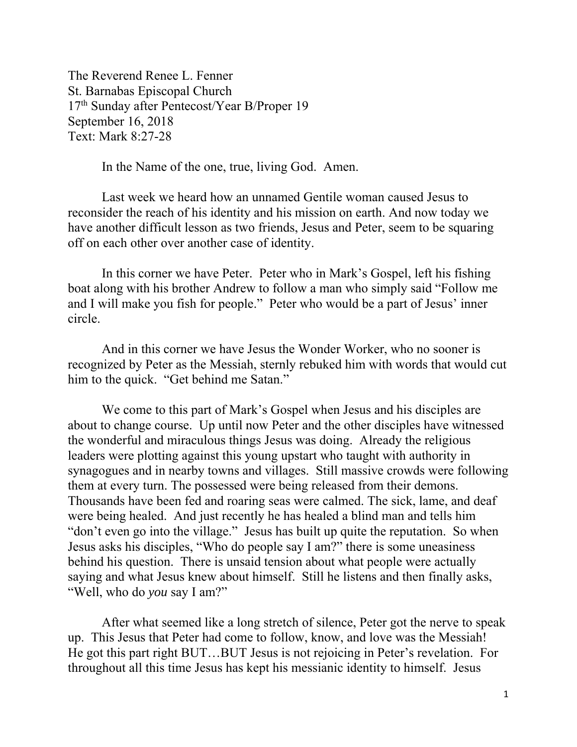The Reverend Renee L. Fenner St. Barnabas Episcopal Church 17<sup>th</sup> Sunday after Pentecost/Year B/Proper 19 September 16, 2018 Text: Mark 8:27-28

In the Name of the one, true, living God. Amen.

 Last week we heard how an unnamed Gentile woman caused Jesus to reconsider the reach of his identity and his mission on earth. And now today we have another difficult lesson as two friends, Jesus and Peter, seem to be squaring off on each other over another case of identity.

 In this corner we have Peter. Peter who in Mark's Gospel, left his fishing boat along with his brother Andrew to follow a man who simply said "Follow me and I will make you fish for people." Peter who would be a part of Jesus' inner circle.

 And in this corner we have Jesus the Wonder Worker, who no sooner is recognized by Peter as the Messiah, sternly rebuked him with words that would cut him to the quick. "Get behind me Satan."

 We come to this part of Mark's Gospel when Jesus and his disciples are about to change course. Up until now Peter and the other disciples have witnessed the wonderful and miraculous things Jesus was doing. Already the religious leaders were plotting against this young upstart who taught with authority in synagogues and in nearby towns and villages. Still massive crowds were following them at every turn. The possessed were being released from their demons. Thousands have been fed and roaring seas were calmed. The sick, lame, and deaf were being healed. And just recently he has healed a blind man and tells him "don't even go into the village." Jesus has built up quite the reputation. So when Jesus asks his disciples, "Who do people say I am?" there is some uneasiness behind his question. There is unsaid tension about what people were actually saying and what Jesus knew about himself. Still he listens and then finally asks, "Well, who do *you* say I am?"

 After what seemed like a long stretch of silence, Peter got the nerve to speak up. This Jesus that Peter had come to follow, know, and love was the Messiah! He got this part right BUT…BUT Jesus is not rejoicing in Peter's revelation. For throughout all this time Jesus has kept his messianic identity to himself. Jesus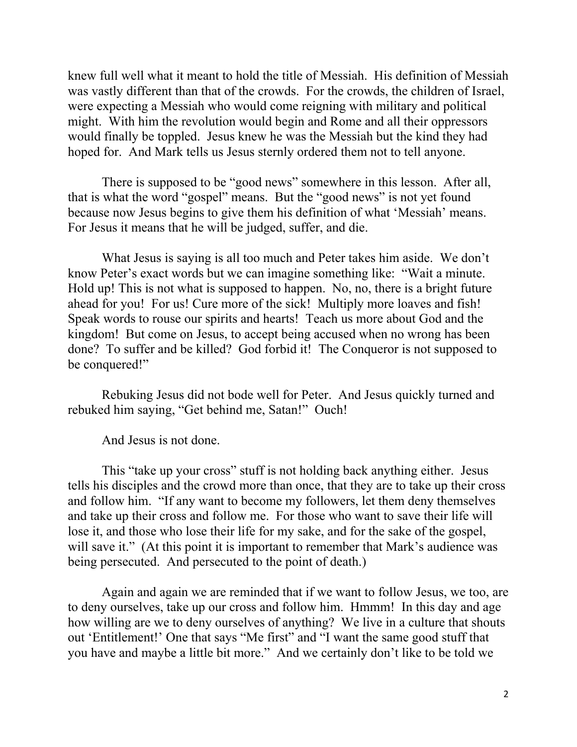knew full well what it meant to hold the title of Messiah. His definition of Messiah was vastly different than that of the crowds. For the crowds, the children of Israel, were expecting a Messiah who would come reigning with military and political might. With him the revolution would begin and Rome and all their oppressors would finally be toppled. Jesus knew he was the Messiah but the kind they had hoped for. And Mark tells us Jesus sternly ordered them not to tell anyone.

 There is supposed to be "good news" somewhere in this lesson. After all, that is what the word "gospel" means. But the "good news" is not yet found because now Jesus begins to give them his definition of what 'Messiah' means. For Jesus it means that he will be judged, suffer, and die.

 What Jesus is saying is all too much and Peter takes him aside. We don't know Peter's exact words but we can imagine something like: "Wait a minute. Hold up! This is not what is supposed to happen. No, no, there is a bright future ahead for you! For us! Cure more of the sick! Multiply more loaves and fish! Speak words to rouse our spirits and hearts! Teach us more about God and the kingdom! But come on Jesus, to accept being accused when no wrong has been done? To suffer and be killed? God forbid it! The Conqueror is not supposed to be conquered!"

 Rebuking Jesus did not bode well for Peter. And Jesus quickly turned and rebuked him saying, "Get behind me, Satan!" Ouch!

And Jesus is not done.

 This "take up your cross" stuff is not holding back anything either. Jesus tells his disciples and the crowd more than once, that they are to take up their cross and follow him. "If any want to become my followers, let them deny themselves and take up their cross and follow me. For those who want to save their life will lose it, and those who lose their life for my sake, and for the sake of the gospel, will save it." (At this point it is important to remember that Mark's audience was being persecuted. And persecuted to the point of death.)

 Again and again we are reminded that if we want to follow Jesus, we too, are to deny ourselves, take up our cross and follow him. Hmmm! In this day and age how willing are we to deny ourselves of anything? We live in a culture that shouts out 'Entitlement!' One that says "Me first" and "I want the same good stuff that you have and maybe a little bit more." And we certainly don't like to be told we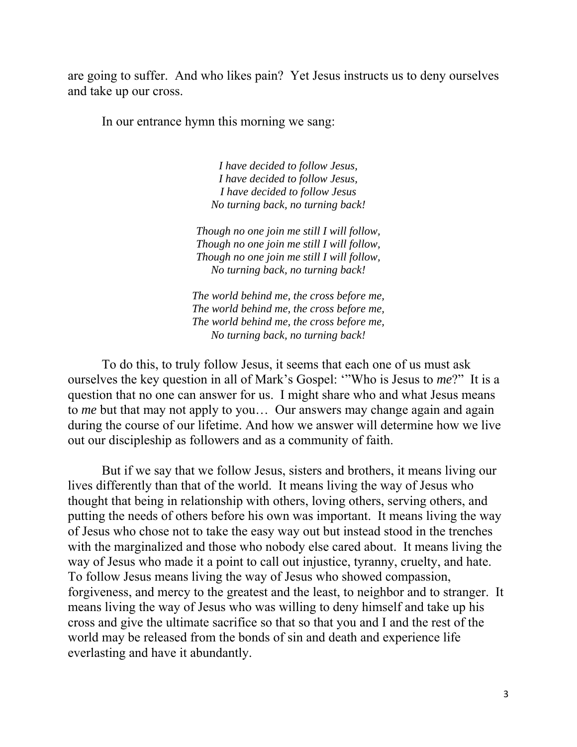are going to suffer. And who likes pain? Yet Jesus instructs us to deny ourselves and take up our cross.

In our entrance hymn this morning we sang:

*I have decided to follow Jesus, I have decided to follow Jesus, I have decided to follow Jesus No turning back, no turning back!* 

*Though no one join me still I will follow, Though no one join me still I will follow, Though no one join me still I will follow, No turning back, no turning back!* 

*The world behind me, the cross before me, The world behind me, the cross before me, The world behind me, the cross before me, No turning back, no turning back!* 

 To do this, to truly follow Jesus, it seems that each one of us must ask ourselves the key question in all of Mark's Gospel: '"Who is Jesus to *me*?" It is a question that no one can answer for us. I might share who and what Jesus means to *me* but that may not apply to you… Our answers may change again and again during the course of our lifetime. And how we answer will determine how we live out our discipleship as followers and as a community of faith.

 But if we say that we follow Jesus, sisters and brothers, it means living our lives differently than that of the world. It means living the way of Jesus who thought that being in relationship with others, loving others, serving others, and putting the needs of others before his own was important. It means living the way of Jesus who chose not to take the easy way out but instead stood in the trenches with the marginalized and those who nobody else cared about. It means living the way of Jesus who made it a point to call out injustice, tyranny, cruelty, and hate. To follow Jesus means living the way of Jesus who showed compassion, forgiveness, and mercy to the greatest and the least, to neighbor and to stranger. It means living the way of Jesus who was willing to deny himself and take up his cross and give the ultimate sacrifice so that so that you and I and the rest of the world may be released from the bonds of sin and death and experience life everlasting and have it abundantly.